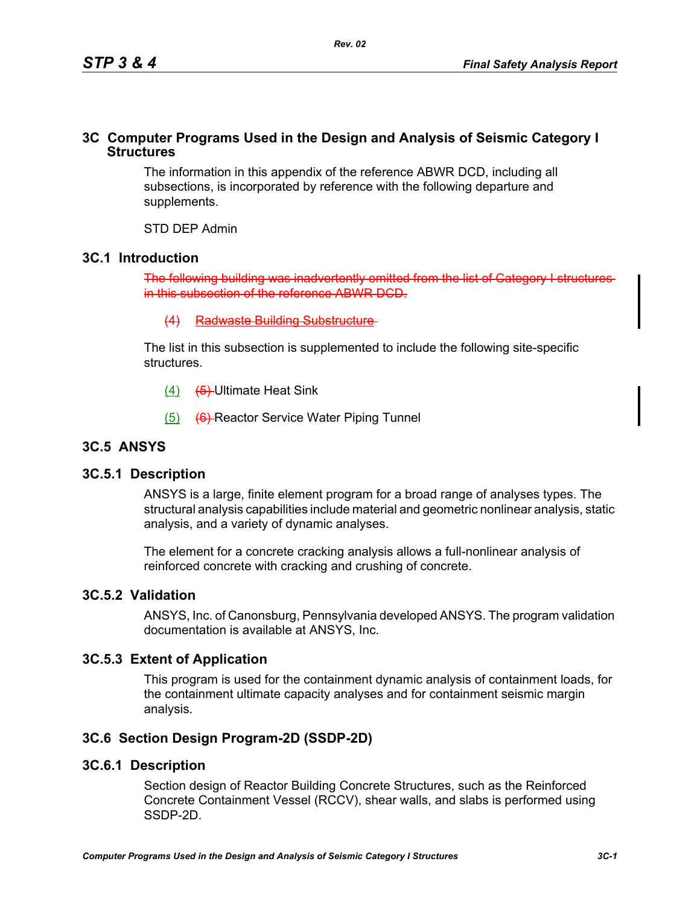## **3C Computer Programs Used in the Design and Analysis of Seismic Category I Structures**

The information in this appendix of the reference ABWR DCD, including all subsections, is incorporated by reference with the following departure and supplements.

STD DEP Admin

### **3C.1 Introduction**

The following building was inadve in this subsection of the reference ABWR DCD.

(4) Radwaste Building Substructure

The list in this subsection is supplemented to include the following site-specific structures.

- (4) (5) Ultimate Heat Sink
- (5) (6) Reactor Service Water Piping Tunnel

# **3C.5 ANSYS**

### **3C.5.1 Description**

ANSYS is a large, finite element program for a broad range of analyses types. The structural analysis capabilities include material and geometric nonlinear analysis, static analysis, and a variety of dynamic analyses.

The element for a concrete cracking analysis allows a full-nonlinear analysis of reinforced concrete with cracking and crushing of concrete.

### **3C.5.2 Validation**

ANSYS, Inc. of Canonsburg, Pennsylvania developed ANSYS. The program validation documentation is available at ANSYS, Inc.

# **3C.5.3 Extent of Application**

This program is used for the containment dynamic analysis of containment loads, for the containment ultimate capacity analyses and for containment seismic margin analysis.

# **3C.6 Section Design Program-2D (SSDP-2D)**

### **3C.6.1 Description**

Section design of Reactor Building Concrete Structures, such as the Reinforced Concrete Containment Vessel (RCCV), shear walls, and slabs is performed using SSDP-2D.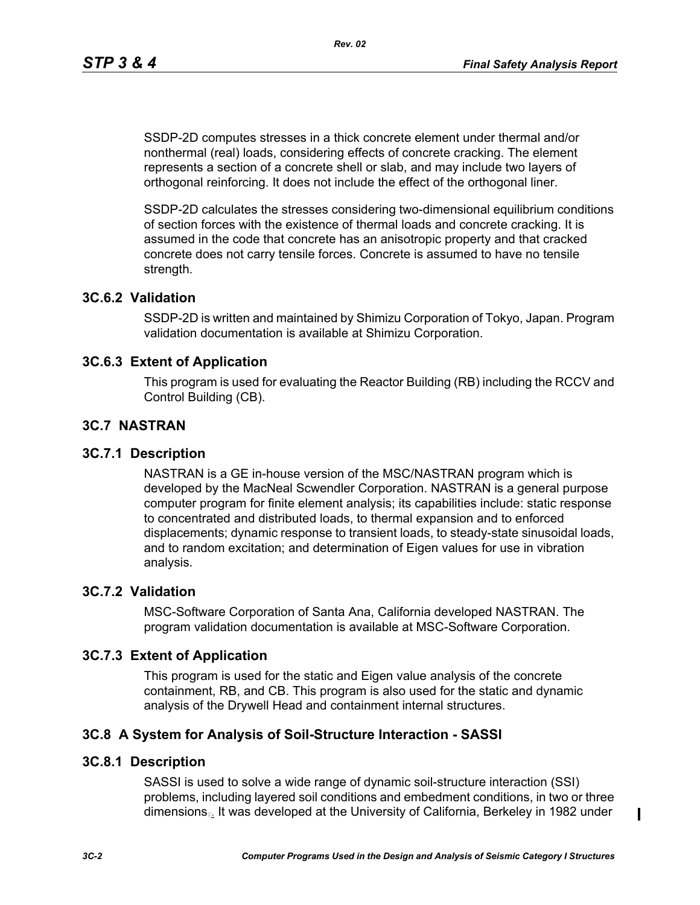SSDP-2D computes stresses in a thick concrete element under thermal and/or nonthermal (real) loads, considering effects of concrete cracking. The element represents a section of a concrete shell or slab, and may include two layers of orthogonal reinforcing. It does not include the effect of the orthogonal liner.

SSDP-2D calculates the stresses considering two-dimensional equilibrium conditions of section forces with the existence of thermal loads and concrete cracking. It is assumed in the code that concrete has an anisotropic property and that cracked concrete does not carry tensile forces. Concrete is assumed to have no tensile strength.

## **3C.6.2 Validation**

SSDP-2D is written and maintained by Shimizu Corporation of Tokyo, Japan. Program validation documentation is available at Shimizu Corporation.

### **3C.6.3 Extent of Application**

This program is used for evaluating the Reactor Building (RB) including the RCCV and Control Building (CB).

### **3C.7 NASTRAN**

### **3C.7.1 Description**

NASTRAN is a GE in-house version of the MSC/NASTRAN program which is developed by the MacNeal Scwendler Corporation. NASTRAN is a general purpose computer program for finite element analysis; its capabilities include: static response to concentrated and distributed loads, to thermal expansion and to enforced displacements; dynamic response to transient loads, to steady-state sinusoidal loads, and to random excitation; and determination of Eigen values for use in vibration analysis.

## **3C.7.2 Validation**

MSC-Software Corporation of Santa Ana, California developed NASTRAN. The program validation documentation is available at MSC-Software Corporation.

### **3C.7.3 Extent of Application**

This program is used for the static and Eigen value analysis of the concrete containment, RB, and CB. This program is also used for the static and dynamic analysis of the Drywell Head and containment internal structures.

### **3C.8 A System for Analysis of Soil-Structure Interaction - SASSI**

### **3C.8.1 Description**

SASSI is used to solve a wide range of dynamic soil-structure interaction (SSI) problems, including layered soil conditions and embedment conditions, in two or three dimensions<sub>,</sub> It was developed at the University of California, Berkeley in 1982 under

 $\blacksquare$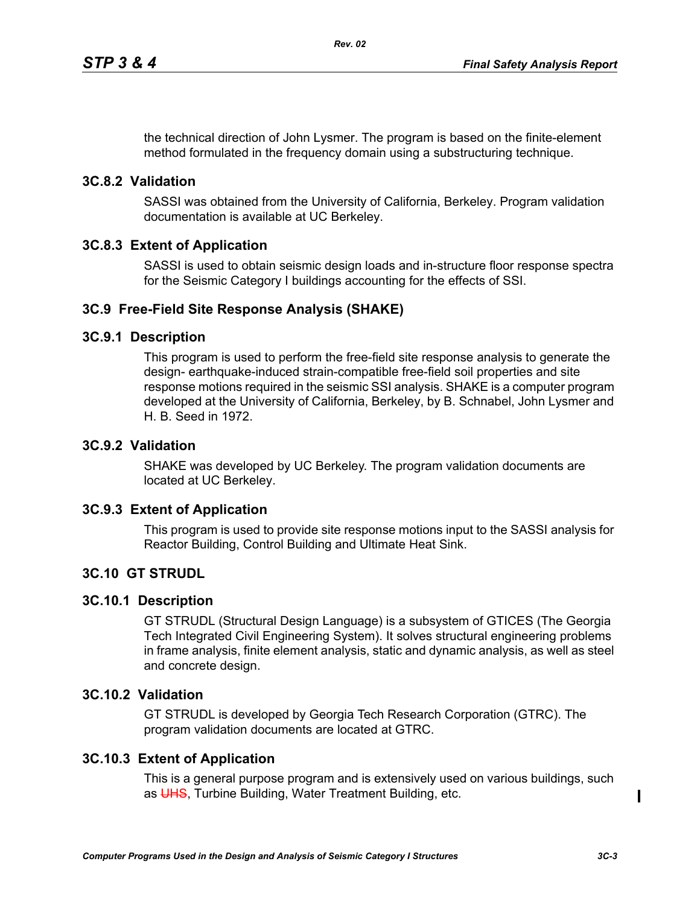the technical direction of John Lysmer. The program is based on the finite-element method formulated in the frequency domain using a substructuring technique.

## **3C.8.2 Validation**

SASSI was obtained from the University of California, Berkeley. Program validation documentation is available at UC Berkeley.

### **3C.8.3 Extent of Application**

SASSI is used to obtain seismic design loads and in-structure floor response spectra for the Seismic Category I buildings accounting for the effects of SSI.

### **3C.9 Free-Field Site Response Analysis (SHAKE)**

### **3C.9.1 Description**

This program is used to perform the free-field site response analysis to generate the design- earthquake-induced strain-compatible free-field soil properties and site response motions required in the seismic SSI analysis. SHAKE is a computer program developed at the University of California, Berkeley, by B. Schnabel, John Lysmer and H. B. Seed in 1972.

### **3C.9.2 Validation**

SHAKE was developed by UC Berkeley. The program validation documents are located at UC Berkeley.

### **3C.9.3 Extent of Application**

This program is used to provide site response motions input to the SASSI analysis for Reactor Building, Control Building and Ultimate Heat Sink.

### **3C.10 GT STRUDL**

### **3C.10.1 Description**

GT STRUDL (Structural Design Language) is a subsystem of GTICES (The Georgia Tech Integrated Civil Engineering System). It solves structural engineering problems in frame analysis, finite element analysis, static and dynamic analysis, as well as steel and concrete design.

### **3C.10.2 Validation**

GT STRUDL is developed by Georgia Tech Research Corporation (GTRC). The program validation documents are located at GTRC.

# **3C.10.3 Extent of Application**

This is a general purpose program and is extensively used on various buildings, such as UHS. Turbine Building, Water Treatment Building, etc.

 $\blacksquare$